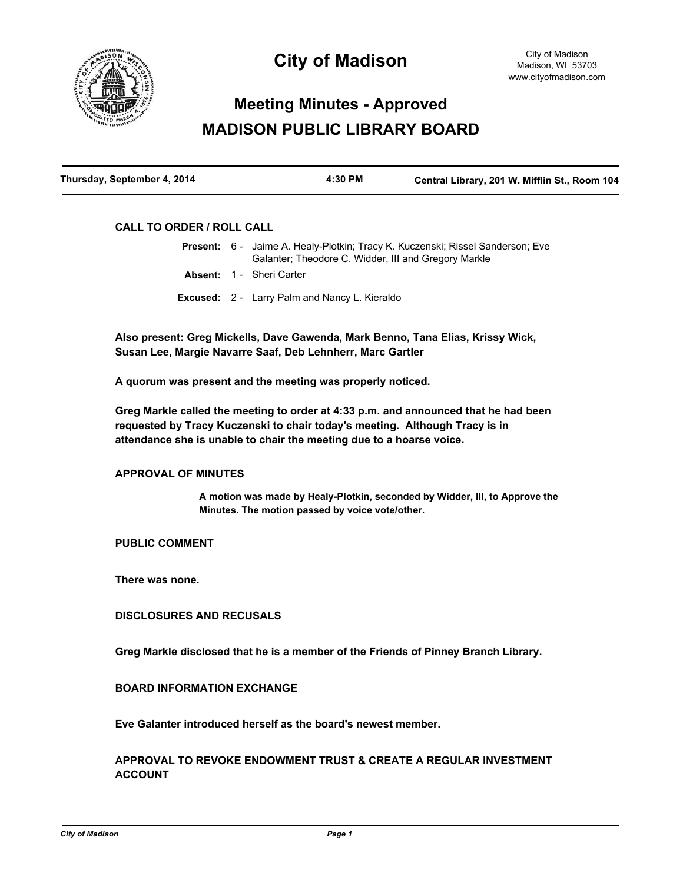

# **City of Madison**

# **Meeting Minutes - Approved MADISON PUBLIC LIBRARY BOARD**

| Thursday, September 4, 2014 | 4:30 PM | Central Library, 201 W. Mifflin St., Room 104 |
|-----------------------------|---------|-----------------------------------------------|
|                             |         |                                               |

# **CALL TO ORDER / ROLL CALL**

|  | <b>Present:</b> 6 - Jaime A. Healy-Plotkin; Tracy K. Kuczenski; Rissel Sanderson; Eve<br>Galanter: Theodore C. Widder, III and Gregory Markle |
|--|-----------------------------------------------------------------------------------------------------------------------------------------------|
|  | <b>Absent: 1 - Sheri Carter</b>                                                                                                               |
|  | <b>Excused:</b> 2 - Larry Palm and Nancy L. Kieraldo                                                                                          |

**Also present: Greg Mickells, Dave Gawenda, Mark Benno, Tana Elias, Krissy Wick, Susan Lee, Margie Navarre Saaf, Deb Lehnherr, Marc Gartler**

**A quorum was present and the meeting was properly noticed.**

**Greg Markle called the meeting to order at 4:33 p.m. and announced that he had been requested by Tracy Kuczenski to chair today's meeting. Although Tracy is in attendance she is unable to chair the meeting due to a hoarse voice.**

### **APPROVAL OF MINUTES**

**A motion was made by Healy-Plotkin, seconded by Widder, III, to Approve the Minutes. The motion passed by voice vote/other.**

# **PUBLIC COMMENT**

**There was none.**

## **DISCLOSURES AND RECUSALS**

**Greg Markle disclosed that he is a member of the Friends of Pinney Branch Library.**

## **BOARD INFORMATION EXCHANGE**

**Eve Galanter introduced herself as the board's newest member.**

# **APPROVAL TO REVOKE ENDOWMENT TRUST & CREATE A REGULAR INVESTMENT ACCOUNT**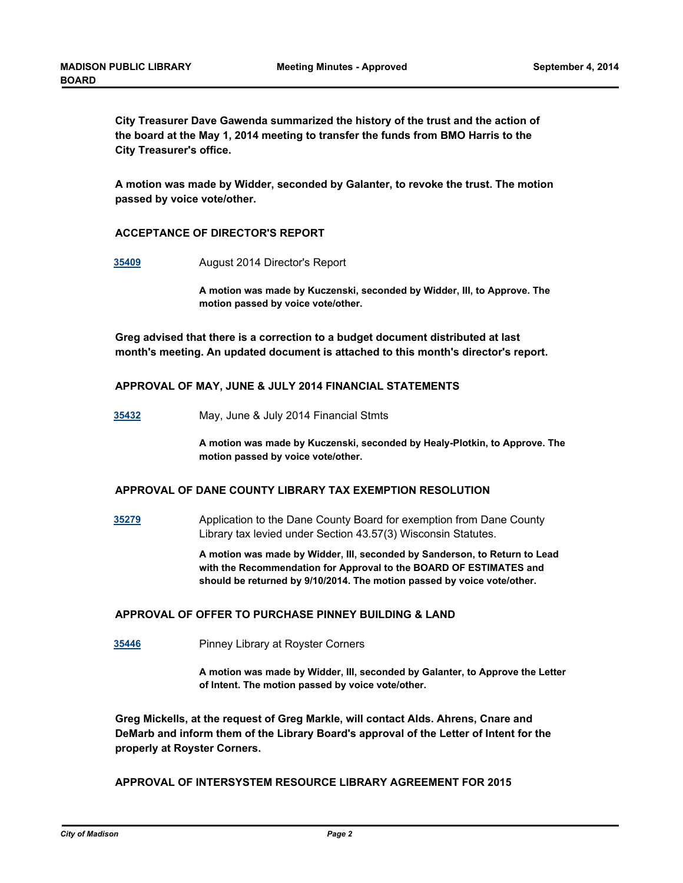**City Treasurer Dave Gawenda summarized the history of the trust and the action of the board at the May 1, 2014 meeting to transfer the funds from BMO Harris to the City Treasurer's office.**

**A motion was made by Widder, seconded by Galanter, to revoke the trust. The motion passed by voice vote/other.**

## **ACCEPTANCE OF DIRECTOR'S REPORT**

**[35409](http://madison.legistar.com/gateway.aspx?m=l&id=/matter.aspx?key=38485)** August 2014 Director's Report

**A motion was made by Kuczenski, seconded by Widder, III, to Approve. The motion passed by voice vote/other.**

**Greg advised that there is a correction to a budget document distributed at last month's meeting. An updated document is attached to this month's director's report.**

### **APPROVAL OF MAY, JUNE & JULY 2014 FINANCIAL STATEMENTS**

**[35432](http://madison.legistar.com/gateway.aspx?m=l&id=/matter.aspx?key=38508)** May, June & July 2014 Financial Stmts

**A motion was made by Kuczenski, seconded by Healy-Plotkin, to Approve. The motion passed by voice vote/other.**

## **APPROVAL OF DANE COUNTY LIBRARY TAX EXEMPTION RESOLUTION**

**[35279](http://madison.legistar.com/gateway.aspx?m=l&id=/matter.aspx?key=38367)** Application to the Dane County Board for exemption from Dane County Library tax levied under Section 43.57(3) Wisconsin Statutes.

> **A motion was made by Widder, III, seconded by Sanderson, to Return to Lead with the Recommendation for Approval to the BOARD OF ESTIMATES and should be returned by 9/10/2014. The motion passed by voice vote/other.**

# **APPROVAL OF OFFER TO PURCHASE PINNEY BUILDING & LAND**

**[35446](http://madison.legistar.com/gateway.aspx?m=l&id=/matter.aspx?key=38522)** Pinney Library at Royster Corners

**A motion was made by Widder, III, seconded by Galanter, to Approve the Letter of Intent. The motion passed by voice vote/other.**

**Greg Mickells, at the request of Greg Markle, will contact Alds. Ahrens, Cnare and DeMarb and inform them of the Library Board's approval of the Letter of Intent for the properly at Royster Corners.**

## **APPROVAL OF INTERSYSTEM RESOURCE LIBRARY AGREEMENT FOR 2015**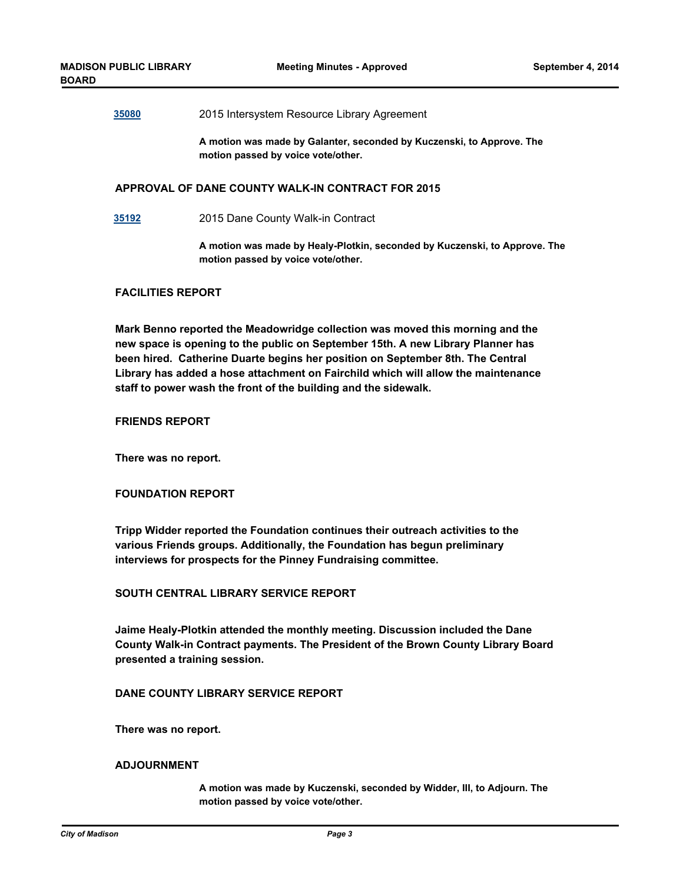#### **[35080](http://madison.legistar.com/gateway.aspx?m=l&id=/matter.aspx?key=38171)** 2015 Intersystem Resource Library Agreement

**A motion was made by Galanter, seconded by Kuczenski, to Approve. The motion passed by voice vote/other.**

#### **APPROVAL OF DANE COUNTY WALK-IN CONTRACT FOR 2015**

**[35192](http://madison.legistar.com/gateway.aspx?m=l&id=/matter.aspx?key=38283)** 2015 Dane County Walk-in Contract

**A motion was made by Healy-Plotkin, seconded by Kuczenski, to Approve. The motion passed by voice vote/other.**

#### **FACILITIES REPORT**

**Mark Benno reported the Meadowridge collection was moved this morning and the new space is opening to the public on September 15th. A new Library Planner has been hired. Catherine Duarte begins her position on September 8th. The Central Library has added a hose attachment on Fairchild which will allow the maintenance staff to power wash the front of the building and the sidewalk.**

## **FRIENDS REPORT**

**There was no report.**

## **FOUNDATION REPORT**

**Tripp Widder reported the Foundation continues their outreach activities to the various Friends groups. Additionally, the Foundation has begun preliminary interviews for prospects for the Pinney Fundraising committee.**

## **SOUTH CENTRAL LIBRARY SERVICE REPORT**

**Jaime Healy-Plotkin attended the monthly meeting. Discussion included the Dane County Walk-in Contract payments. The President of the Brown County Library Board presented a training session.**

## **DANE COUNTY LIBRARY SERVICE REPORT**

**There was no report.**

### **ADJOURNMENT**

**A motion was made by Kuczenski, seconded by Widder, III, to Adjourn. The motion passed by voice vote/other.**